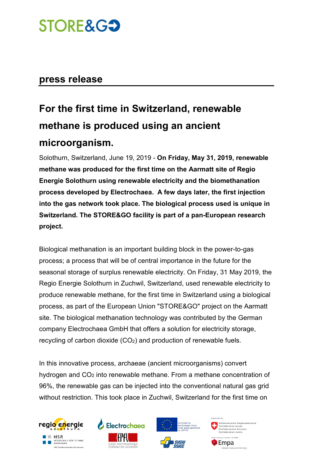## **STORE&G3**

### **press release**

### **For the first time in Switzerland, renewable methane is produced using an ancient microorganism.**

Solothurn, Switzerland, June 19, 2019 - **On Friday, May 31, 2019, renewable methane was produced for the first time on the Aarmatt site of Regio Energie Solothurn using renewable electricity and the biomethanation process developed by Electrochaea. A few days later, the first injection into the gas network took place. The biological process used is unique in Switzerland. The STORE&GO facility is part of a pan-European research project.** 

Biological methanation is an important building block in the power-to-gas process; a process that will be of central importance in the future for the seasonal storage of surplus renewable electricity. On Friday, 31 May 2019, the Regio Energie Solothurn in Zuchwil, Switzerland, used renewable electricity to produce renewable methane, for the first time in Switzerland using a biological process, as part of the European Union "STORE&GO" project on the Aarmatt site. The biological methanation technology was contributed by the German company Electrochaea GmbH that offers a solution for electricity storage, recycling of carbon dioxide (CO2) and production of renewable fuels.

In this innovative process, archaeae (ancient microorganisms) convert hydrogen and CO2 into renewable methane. From a methane concentration of 96%, the renewable gas can be injected into the conventional natural gas grid without restriction. This took place in Zuchwil, Switzerland for the first time on